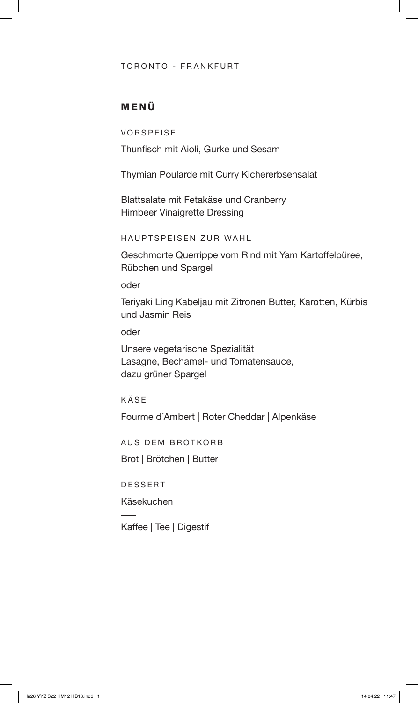#### TORONTO - FRANKFURT

## MENÜ

VORSPEISE

Thunfisch mit Aioli, Gurke und Sesam

Thymian Poularde mit Curry Kichererbsensalat

Blattsalate mit Fetakäse und Cranberry Himbeer Vinaigrette Dressing

HAUPTSPEISEN ZUR WAHL

Geschmorte Querrippe vom Rind mit Yam Kartoffelpüree, Rübchen und Spargel

oder

Teriyaki Ling Kabeljau mit Zitronen Butter, Karotten, Kürbis und Jasmin Reis

oder

Unsere vegetarische Spezialität Lasagne, Bechamel- und Tomatensauce, dazu grüner Spargel

KÄSE

Fourme d´Ambert | Roter Cheddar | Alpenkäse

AUS DEM BROTKORB

Brot | Brötchen | Butter

DESSERT

Käsekuchen

Kaffee | Tee | Digestif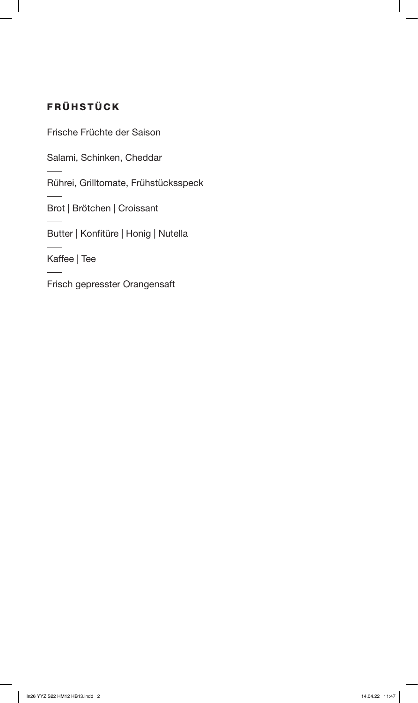# FRÜHSTÜCK

Frische Früchte der Saison

Salami, Schinken, Cheddar

Rührei, Grilltomate, Frühstücksspeck

Brot | Brötchen | Croissant

Butter | Konfitüre | Honig | Nutella

Kaffee | Tee

Frisch gepresster Orangensaft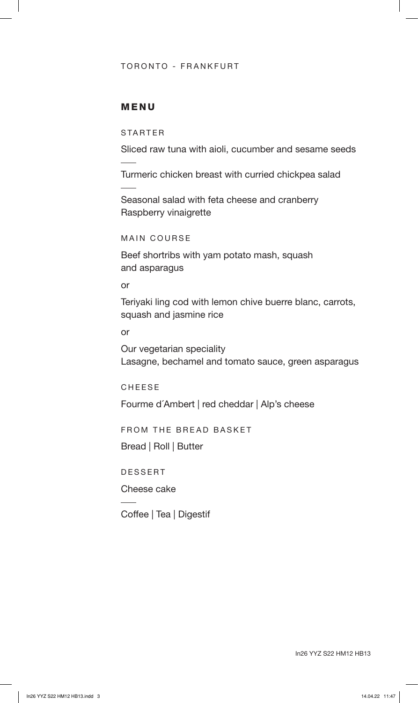#### TORONTO - FRANKFURT

### MENU

STARTER

Sliced raw tuna with aioli, cucumber and sesame seeds

Turmeric chicken breast with curried chickpea salad

Seasonal salad with feta cheese and cranberry Raspberry vinaigrette

MAIN COURSE

Beef shortribs with yam potato mash, squash and asparagus

or

Teriyaki ling cod with lemon chive buerre blanc, carrots, squash and jasmine rice

or

Our vegetarian speciality Lasagne, bechamel and tomato sauce, green asparagus

CHEESE

Fourme d´Ambert | red cheddar | Alp's cheese

FROM THE BREAD BASKET

Bread | Roll | Butter

DESSERT

Cheese cake

Coffee | Tea | Digestif